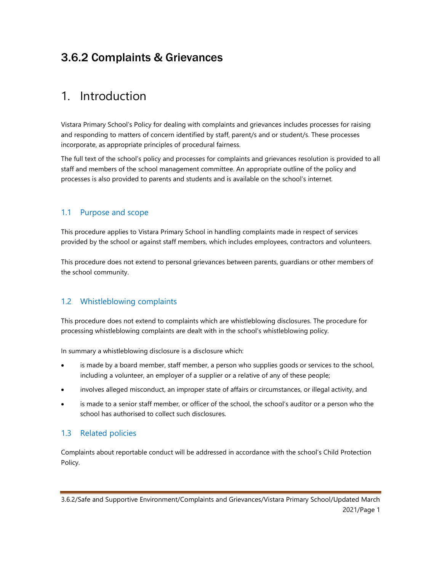# 3.6.2 Complaints & Grievances

## 1. Introduction

Vistara Primary School's Policy for dealing with complaints and grievances includes processes for raising and responding to matters of concern identified by staff, parent/s and or student/s. These processes incorporate, as appropriate principles of procedural fairness.

The full text of the school's policy and processes for complaints and grievances resolution is provided to all staff and members of the school management committee. An appropriate outline of the policy and processes is also provided to parents and students and is available on the school's internet.

#### 1.1 Purpose and scope

This procedure applies to Vistara Primary School in handling complaints made in respect of services provided by the school or against staff members, which includes employees, contractors and volunteers.

This procedure does not extend to personal grievances between parents, guardians or other members of the school community.

### 1.2 Whistleblowing complaints

This procedure does not extend to complaints which are whistleblowing disclosures. The procedure for processing whistleblowing complaints are dealt with in the school's whistleblowing policy.

In summary a whistleblowing disclosure is a disclosure which:

- is made by a board member, staff member, a person who supplies goods or services to the school, including a volunteer, an employer of a supplier or a relative of any of these people;
- involves alleged misconduct, an improper state of affairs or circumstances, or illegal activity, and
- is made to a senior staff member, or officer of the school, the school's auditor or a person who the school has authorised to collect such disclosures.

#### 1.3 Related policies

Complaints about reportable conduct will be addressed in accordance with the school's Child Protection Policy.

<sup>3.6.2/</sup>Safe and Supportive Environment/Complaints and Grievances/Vistara Primary School/Updated March 2021/Page 1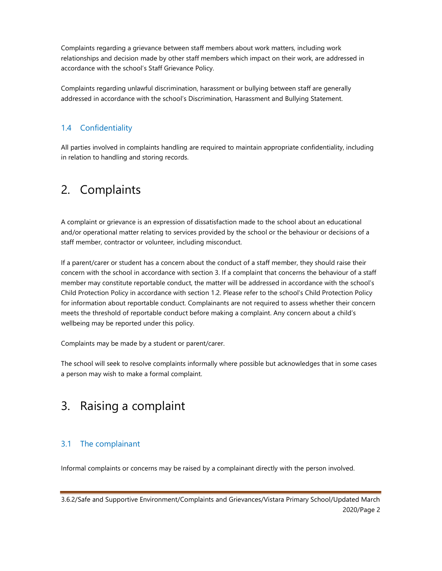Complaints regarding a grievance between staff members about work matters, including work relationships and decision made by other staff members which impact on their work, are addressed in accordance with the school's Staff Grievance Policy.

Complaints regarding unlawful discrimination, harassment or bullying between staff are generally addressed in accordance with the school's Discrimination, Harassment and Bullying Statement.

### 1.4 Confidentiality

All parties involved in complaints handling are required to maintain appropriate confidentiality, including in relation to handling and storing records.

## 2. Complaints

A complaint or grievance is an expression of dissatisfaction made to the school about an educational and/or operational matter relating to services provided by the school or the behaviour or decisions of a staff member, contractor or volunteer, including misconduct.

If a parent/carer or student has a concern about the conduct of a staff member, they should raise their concern with the school in accordance with section 3. If a complaint that concerns the behaviour of a staff member may constitute reportable conduct, the matter will be addressed in accordance with the school's Child Protection Policy in accordance with section 1.2. Please refer to the school's Child Protection Policy for information about reportable conduct. Complainants are not required to assess whether their concern meets the threshold of reportable conduct before making a complaint. Any concern about a child's wellbeing may be reported under this policy.

Complaints may be made by a student or parent/carer.

The school will seek to resolve complaints informally where possible but acknowledges that in some cases a person may wish to make a formal complaint.

## 3. Raising a complaint

### 3.1 The complainant

Informal complaints or concerns may be raised by a complainant directly with the person involved.

<sup>3.6.2/</sup>Safe and Supportive Environment/Complaints and Grievances/Vistara Primary School/Updated March 2020/Page 2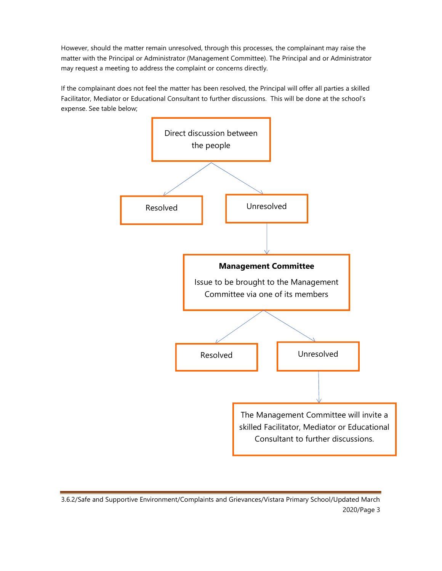However, should the matter remain unresolved, through this processes, the complainant may raise the matter with the Principal or Administrator (Management Committee). The Principal and or Administrator may request a meeting to address the complaint or concerns directly.

If the complainant does not feel the matter has been resolved, the Principal will offer all parties a skilled Facilitator, Mediator or Educational Consultant to further discussions. This will be done at the school's expense. See table below;



3.6.2/Safe and Supportive Environment/Complaints and Grievances/Vistara Primary School/Updated March 2020/Page 3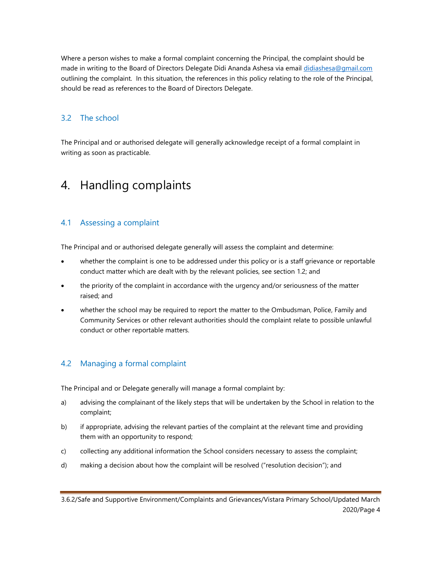Where a person wishes to make a formal complaint concerning the Principal, the complaint should be made in writing to the Board of Directors Delegate Didi Ananda Ashesa via email didiashesa@gmail.com outlining the complaint. In this situation, the references in this policy relating to the role of the Principal, should be read as references to the Board of Directors Delegate.

#### 3.2 The school

The Principal and or authorised delegate will generally acknowledge receipt of a formal complaint in writing as soon as practicable.

## 4. Handling complaints

#### 4.1 Assessing a complaint

The Principal and or authorised delegate generally will assess the complaint and determine:

- whether the complaint is one to be addressed under this policy or is a staff grievance or reportable conduct matter which are dealt with by the relevant policies, see section 1.2; and
- the priority of the complaint in accordance with the urgency and/or seriousness of the matter raised; and
- whether the school may be required to report the matter to the Ombudsman, Police, Family and Community Services or other relevant authorities should the complaint relate to possible unlawful conduct or other reportable matters.

#### 4.2 Managing a formal complaint

The Principal and or Delegate generally will manage a formal complaint by:

- a) advising the complainant of the likely steps that will be undertaken by the School in relation to the complaint;
- b) if appropriate, advising the relevant parties of the complaint at the relevant time and providing them with an opportunity to respond;
- c) collecting any additional information the School considers necessary to assess the complaint;
- d) making a decision about how the complaint will be resolved ("resolution decision"); and

<sup>3.6.2/</sup>Safe and Supportive Environment/Complaints and Grievances/Vistara Primary School/Updated March 2020/Page 4